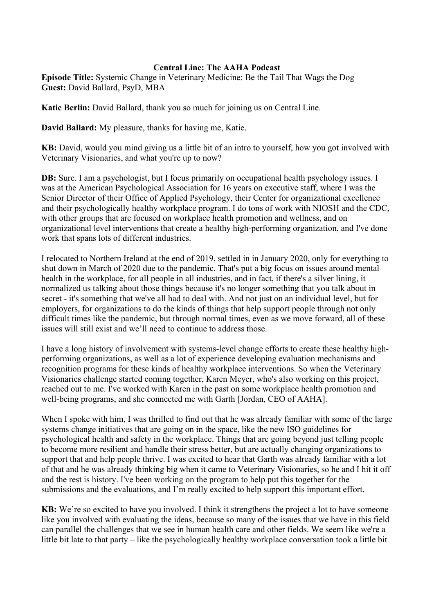## **Central Line: The AAHA Podcast**

**Episode Title:** Systemic Change in Veterinary Medicine: Be the Tail That Wags the Dog **Guest:** David Ballard, PsyD, MBA

**Katie Berlin:** David Ballard, thank you so much for joining us on Central Line.

**David Ballard:** My pleasure, thanks for having me, Katie.

**KB:** David, would you mind giving us a little bit of an intro to yourself, how you got involved with Veterinary Visionaries, and what you're up to now?

**DB:** Sure. I am a psychologist, but I focus primarily on occupational health psychology issues. I was at the American Psychological Association for 16 years on executive staff, where I was the Senior Director of their Office of Applied Psychology, their Center for organizational excellence and their psychologically healthy workplace program. I do tons of work with NIOSH and the CDC, with other groups that are focused on workplace health promotion and wellness, and on organizational level interventions that create a healthy high-performing organization, and I've done work that spans lots of different industries.

I relocated to Northern Ireland at the end of 2019, settled in in January 2020, only for everything to shut down in March of 2020 due to the pandemic. That's put a big focus on issues around mental health in the workplace, for all people in all industries, and in fact, if there's a silver lining, it normalized us talking about those things because it's no longer something that you talk about in secret - it's something that we've all had to deal with. And not just on an individual level, but for employers, for organizations to do the kinds of things that help support people through not only difficult times like the pandemic, but through normal times, even as we move forward, all of these issues will still exist and we'll need to continue to address those.

I have a long history of involvement with systems-level change efforts to create these healthy highperforming organizations, as well as a lot of experience developing evaluation mechanisms and recognition programs for these kinds of healthy workplace interventions. So when the Veterinary Visionaries challenge started coming together, Karen Meyer, who's also working on this project, reached out to me. I've worked with Karen in the past on some workplace health promotion and well-being programs, and she connected me with Garth [Jordan, CEO of AAHA].

When I spoke with him, I was thrilled to find out that he was already familiar with some of the large systems change initiatives that are going on in the space, like the new ISO guidelines for psychological health and safety in the workplace. Things that are going beyond just telling people to become more resilient and handle their stress better, but are actually changing organizations to support that and help people thrive. I was excited to hear that Garth was already familiar with a lot of that and he was already thinking big when it came to Veterinary Visionaries, so he and I hit it off and the rest is history. I've been working on the program to help put this together for the submissions and the evaluations, and I'm really excited to help support this important effort.

**KB:** We're so excited to have you involved. I think it strengthens the project a lot to have someone like you involved with evaluating the ideas, because so many of the issues that we have in this field can parallel the challenges that we see in human health care and other fields. We seem like we're a little bit late to that party – like the psychologically healthy workplace conversation took a little bit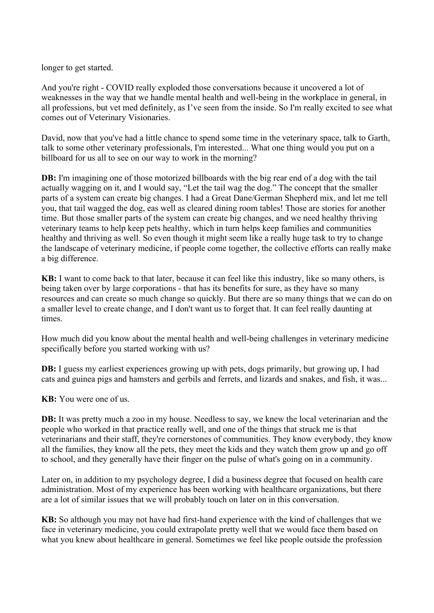longer to get started.

And you're right - COVID really exploded those conversations because it uncovered a lot of weaknesses in the way that we handle mental health and well-being in the workplace in general, in all professions, but vet med definitely, as I've seen from the inside. So I'm really excited to see what comes out of Veterinary Visionaries.

David, now that you've had a little chance to spend some time in the veterinary space, talk to Garth, talk to some other veterinary professionals, I'm interested... What one thing would you put on a billboard for us all to see on our way to work in the morning?

**DB:** I'm imagining one of those motorized billboards with the big rear end of a dog with the tail actually wagging on it, and I would say, "Let the tail wag the dog." The concept that the smaller parts of a system can create big changes. I had a Great Dane/German Shepherd mix, and let me tell you, that tail wagged the dog, eas well as cleared dining room tables! Those are stories for another time. But those smaller parts of the system can create big changes, and we need healthy thriving veterinary teams to help keep pets healthy, which in turn helps keep families and communities healthy and thriving as well. So even though it might seem like a really huge task to try to change the landscape of veterinary medicine, if people come together, the collective efforts can really make a big difference.

**KB:** I want to come back to that later, because it can feel like this industry, like so many others, is being taken over by large corporations - that has its benefits for sure, as they have so many resources and can create so much change so quickly. But there are so many things that we can do on a smaller level to create change, and I don't want us to forget that. It can feel really daunting at times.

How much did you know about the mental health and well-being challenges in veterinary medicine specifically before you started working with us?

**DB:** I guess my earliest experiences growing up with pets, dogs primarily, but growing up, I had cats and guinea pigs and hamsters and gerbils and ferrets, and lizards and snakes, and fish, it was...

**KB:** You were one of us.

**DB:** It was pretty much a zoo in my house. Needless to say, we knew the local veterinarian and the people who worked in that practice really well, and one of the things that struck me is that veterinarians and their staff, they're cornerstones of communities. They know everybody, they know all the families, they know all the pets, they meet the kids and they watch them grow up and go off to school, and they generally have their finger on the pulse of what's going on in a community.

Later on, in addition to my psychology degree, I did a business degree that focused on health care administration. Most of my experience has been working with healthcare organizations, but there are a lot of similar issues that we will probably touch on later on in this conversation.

**KB:** So although you may not have had first-hand experience with the kind of challenges that we face in veterinary medicine, you could extrapolate pretty well that we would face them based on what you knew about healthcare in general. Sometimes we feel like people outside the profession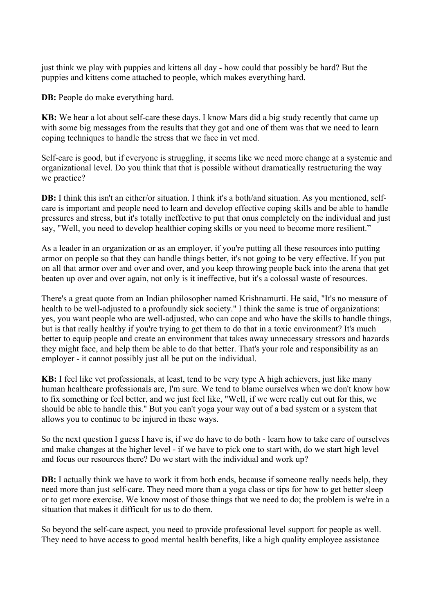just think we play with puppies and kittens all day - how could that possibly be hard? But the puppies and kittens come attached to people, which makes everything hard.

**DB:** People do make everything hard.

**KB:** We hear a lot about self-care these days. I know Mars did a big study recently that came up with some big messages from the results that they got and one of them was that we need to learn coping techniques to handle the stress that we face in vet med.

Self-care is good, but if everyone is struggling, it seems like we need more change at a systemic and organizational level. Do you think that that is possible without dramatically restructuring the way we practice?

**DB:** I think this isn't an either/or situation. I think it's a both/and situation. As you mentioned, selfcare is important and people need to learn and develop effective coping skills and be able to handle pressures and stress, but it's totally ineffective to put that onus completely on the individual and just say, "Well, you need to develop healthier coping skills or you need to become more resilient."

As a leader in an organization or as an employer, if you're putting all these resources into putting armor on people so that they can handle things better, it's not going to be very effective. If you put on all that armor over and over and over, and you keep throwing people back into the arena that get beaten up over and over again, not only is it ineffective, but it's a colossal waste of resources.

There's a great quote from an Indian philosopher named Krishnamurti. He said, "It's no measure of health to be well-adjusted to a profoundly sick society." I think the same is true of organizations: yes, you want people who are well-adjusted, who can cope and who have the skills to handle things, but is that really healthy if you're trying to get them to do that in a toxic environment? It's much better to equip people and create an environment that takes away unnecessary stressors and hazards they might face, and help them be able to do that better. That's your role and responsibility as an employer - it cannot possibly just all be put on the individual.

**KB:** I feel like vet professionals, at least, tend to be very type A high achievers, just like many human healthcare professionals are, I'm sure. We tend to blame ourselves when we don't know how to fix something or feel better, and we just feel like, "Well, if we were really cut out for this, we should be able to handle this." But you can't yoga your way out of a bad system or a system that allows you to continue to be injured in these ways.

So the next question I guess I have is, if we do have to do both - learn how to take care of ourselves and make changes at the higher level - if we have to pick one to start with, do we start high level and focus our resources there? Do we start with the individual and work up?

**DB:** I actually think we have to work it from both ends, because if someone really needs help, they need more than just self-care. They need more than a yoga class or tips for how to get better sleep or to get more exercise. We know most of those things that we need to do; the problem is we're in a situation that makes it difficult for us to do them.

So beyond the self-care aspect, you need to provide professional level support for people as well. They need to have access to good mental health benefits, like a high quality employee assistance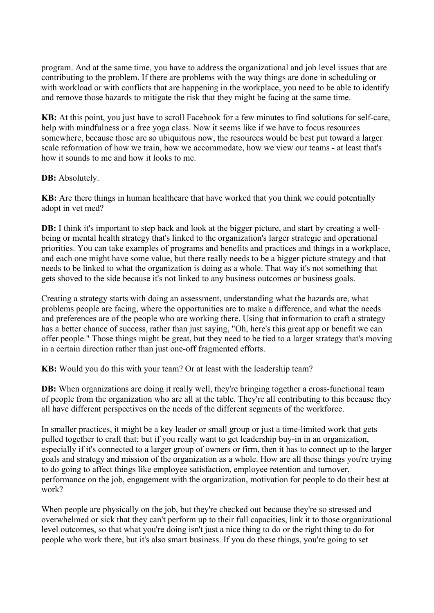program. And at the same time, you have to address the organizational and job level issues that are contributing to the problem. If there are problems with the way things are done in scheduling or with workload or with conflicts that are happening in the workplace, you need to be able to identify and remove those hazards to mitigate the risk that they might be facing at the same time.

**KB:** At this point, you just have to scroll Facebook for a few minutes to find solutions for self-care, help with mindfulness or a free yoga class. Now it seems like if we have to focus resources somewhere, because those are so ubiquitous now, the resources would be best put toward a larger scale reformation of how we train, how we accommodate, how we view our teams - at least that's how it sounds to me and how it looks to me.

## **DB:** Absolutely.

**KB:** Are there things in human healthcare that have worked that you think we could potentially adopt in vet med?

**DB:** I think it's important to step back and look at the bigger picture, and start by creating a wellbeing or mental health strategy that's linked to the organization's larger strategic and operational priorities. You can take examples of programs and benefits and practices and things in a workplace, and each one might have some value, but there really needs to be a bigger picture strategy and that needs to be linked to what the organization is doing as a whole. That way it's not something that gets shoved to the side because it's not linked to any business outcomes or business goals.

Creating a strategy starts with doing an assessment, understanding what the hazards are, what problems people are facing, where the opportunities are to make a difference, and what the needs and preferences are of the people who are working there. Using that information to craft a strategy has a better chance of success, rather than just saying, "Oh, here's this great app or benefit we can offer people." Those things might be great, but they need to be tied to a larger strategy that's moving in a certain direction rather than just one-off fragmented efforts.

**KB:** Would you do this with your team? Or at least with the leadership team?

**DB:** When organizations are doing it really well, they're bringing together a cross-functional team of people from the organization who are all at the table. They're all contributing to this because they all have different perspectives on the needs of the different segments of the workforce.

In smaller practices, it might be a key leader or small group or just a time-limited work that gets pulled together to craft that; but if you really want to get leadership buy-in in an organization, especially if it's connected to a larger group of owners or firm, then it has to connect up to the larger goals and strategy and mission of the organization as a whole. How are all these things you're trying to do going to affect things like employee satisfaction, employee retention and turnover, performance on the job, engagement with the organization, motivation for people to do their best at work?

When people are physically on the job, but they're checked out because they're so stressed and overwhelmed or sick that they can't perform up to their full capacities, link it to those organizational level outcomes, so that what you're doing isn't just a nice thing to do or the right thing to do for people who work there, but it's also smart business. If you do these things, you're going to set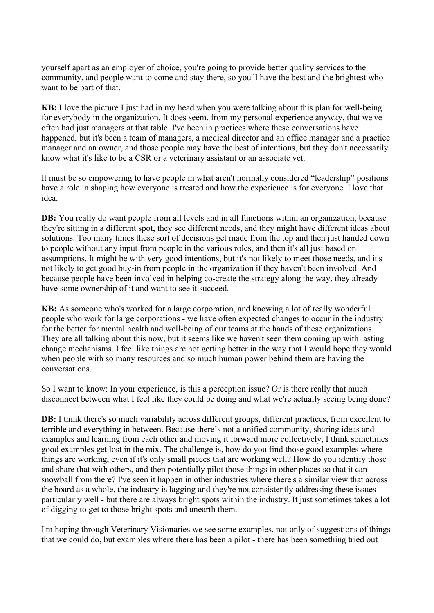yourself apart as an employer of choice, you're going to provide better quality services to the community, and people want to come and stay there, so you'll have the best and the brightest who want to be part of that.

**KB:** I love the picture I just had in my head when you were talking about this plan for well-being for everybody in the organization. It does seem, from my personal experience anyway, that we've often had just managers at that table. I've been in practices where these conversations have happened, but it's been a team of managers, a medical director and an office manager and a practice manager and an owner, and those people may have the best of intentions, but they don't necessarily know what it's like to be a CSR or a veterinary assistant or an associate vet.

It must be so empowering to have people in what aren't normally considered "leadership" positions have a role in shaping how everyone is treated and how the experience is for everyone. I love that idea.

**DB:** You really do want people from all levels and in all functions within an organization, because they're sitting in a different spot, they see different needs, and they might have different ideas about solutions. Too many times these sort of decisions get made from the top and then just handed down to people without any input from people in the various roles, and then it's all just based on assumptions. It might be with very good intentions, but it's not likely to meet those needs, and it's not likely to get good buy-in from people in the organization if they haven't been involved. And because people have been involved in helping co-create the strategy along the way, they already have some ownership of it and want to see it succeed.

**KB:** As someone who's worked for a large corporation, and knowing a lot of really wonderful people who work for large corporations - we have often expected changes to occur in the industry for the better for mental health and well-being of our teams at the hands of these organizations. They are all talking about this now, but it seems like we haven't seen them coming up with lasting change mechanisms. I feel like things are not getting better in the way that I would hope they would when people with so many resources and so much human power behind them are having the conversations.

So I want to know: In your experience, is this a perception issue? Or is there really that much disconnect between what I feel like they could be doing and what we're actually seeing being done?

**DB:** I think there's so much variability across different groups, different practices, from excellent to terrible and everything in between. Because there's not a unified community, sharing ideas and examples and learning from each other and moving it forward more collectively, I think sometimes good examples get lost in the mix. The challenge is, how do you find those good examples where things are working, even if it's only small pieces that are working well? How do you identify those and share that with others, and then potentially pilot those things in other places so that it can snowball from there? I've seen it happen in other industries where there's a similar view that across the board as a whole, the industry is lagging and they're not consistently addressing these issues particularly well - but there are always bright spots within the industry. It just sometimes takes a lot of digging to get to those bright spots and unearth them.

I'm hoping through Veterinary Visionaries we see some examples, not only of suggestions of things that we could do, but examples where there has been a pilot - there has been something tried out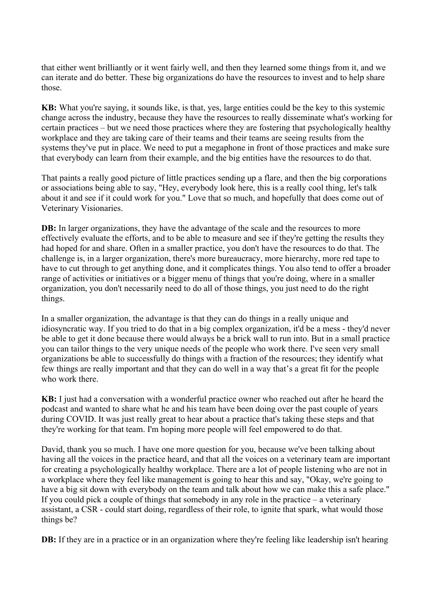that either went brilliantly or it went fairly well, and then they learned some things from it, and we can iterate and do better. These big organizations do have the resources to invest and to help share those.

**KB:** What you're saying, it sounds like, is that, yes, large entities could be the key to this systemic change across the industry, because they have the resources to really disseminate what's working for certain practices – but we need those practices where they are fostering that psychologically healthy workplace and they are taking care of their teams and their teams are seeing results from the systems they've put in place. We need to put a megaphone in front of those practices and make sure that everybody can learn from their example, and the big entities have the resources to do that.

That paints a really good picture of little practices sending up a flare, and then the big corporations or associations being able to say, "Hey, everybody look here, this is a really cool thing, let's talk about it and see if it could work for you." Love that so much, and hopefully that does come out of Veterinary Visionaries.

**DB:** In larger organizations, they have the advantage of the scale and the resources to more effectively evaluate the efforts, and to be able to measure and see if they're getting the results they had hoped for and share. Often in a smaller practice, you don't have the resources to do that. The challenge is, in a larger organization, there's more bureaucracy, more hierarchy, more red tape to have to cut through to get anything done, and it complicates things. You also tend to offer a broader range of activities or initiatives or a bigger menu of things that you're doing, where in a smaller organization, you don't necessarily need to do all of those things, you just need to do the right things.

In a smaller organization, the advantage is that they can do things in a really unique and idiosyncratic way. If you tried to do that in a big complex organization, it'd be a mess - they'd never be able to get it done because there would always be a brick wall to run into. But in a small practice you can tailor things to the very unique needs of the people who work there. I've seen very small organizations be able to successfully do things with a fraction of the resources; they identify what few things are really important and that they can do well in a way that's a great fit for the people who work there.

**KB:** I just had a conversation with a wonderful practice owner who reached out after he heard the podcast and wanted to share what he and his team have been doing over the past couple of years during COVID. It was just really great to hear about a practice that's taking these steps and that they're working for that team. I'm hoping more people will feel empowered to do that.

David, thank you so much. I have one more question for you, because we've been talking about having all the voices in the practice heard, and that all the voices on a veterinary team are important for creating a psychologically healthy workplace. There are a lot of people listening who are not in a workplace where they feel like management is going to hear this and say, "Okay, we're going to have a big sit down with everybody on the team and talk about how we can make this a safe place." If you could pick a couple of things that somebody in any role in the practice – a veterinary assistant, a CSR - could start doing, regardless of their role, to ignite that spark, what would those things be?

**DB:** If they are in a practice or in an organization where they're feeling like leadership isn't hearing